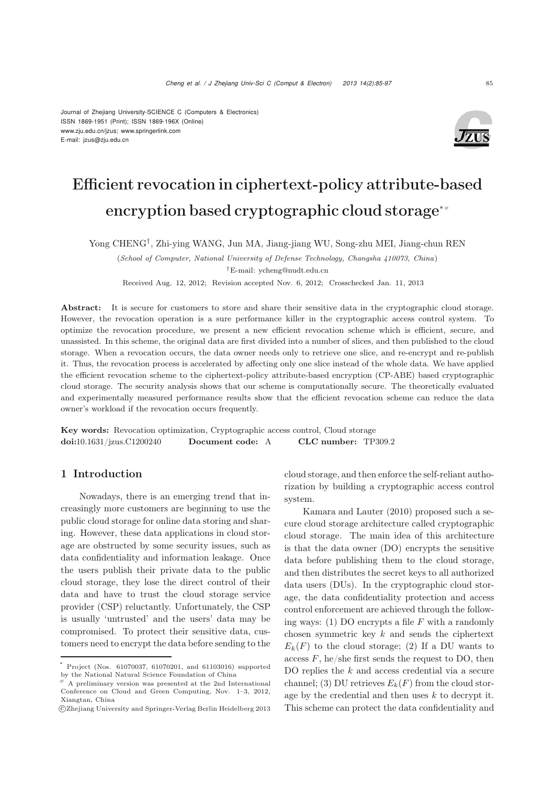#### Journal of Zhejiang University-SCIENCE C (Computers & Electronics) ISSN 1869-1951 (Print); ISSN 1869-196X (Online) www.zju.edu.cn/jzus; www.springerlink.com E-mail: jzus@zju.edu.cn



# Efficient revocation in ciphertext-policy attribute-based encryption based cryptographic cloud storage<sup>∗#</sup>

Yong CHENG†, Zhi-ying WANG, Jun MA, Jiang-jiang WU, Song-zhu MEI, Jiang-chun REN

(*School of Computer, National University of Defense Technology, Changsha 410073, China*)

†E-mail: ycheng@nudt.edu.cn

Received Aug. 12, 2012; Revision accepted Nov. 6, 2012; Crosschecked Jan. 11, 2013

Abstract: It is secure for customers to store and share their sensitive data in the cryptographic cloud storage. However, the revocation operation is a sure performance killer in the cryptographic access control system. To optimize the revocation procedure, we present a new efficient revocation scheme which is efficient, secure, and unassisted. In this scheme, the original data are first divided into a number of slices, and then published to the cloud storage. When a revocation occurs, the data owner needs only to retrieve one slice, and re-encrypt and re-publish it. Thus, the revocation process is accelerated by affecting only one slice instead of the whole data. We have applied the efficient revocation scheme to the ciphertext-policy attribute-based encryption (CP-ABE) based cryptographic cloud storage. The security analysis shows that our scheme is computationally secure. The theoretically evaluated and experimentally measured performance results show that the efficient revocation scheme can reduce the data owner's workload if the revocation occurs frequently.

Key words: Revocation optimization, Cryptographic access control, Cloud storage doi:10.1631/jzus.C1200240 Document code: A CLC number: TP309.2

## 1 Introduction

Nowadays, there is an emerging trend that increasingly more customers are beginning to use the public cloud storage for online data storing and sharing. However, these data applications in cloud storage are obstructed by some security issues, such as data confidentiality and information leakage. Once the users publish their private data to the public cloud storage, they lose the direct control of their data and have to trust the cloud storage service provider (CSP) reluctantly. Unfortunately, the CSP is usually 'untrusted' and the users' data may be compromised. To protect their sensitive data, customers need to encrypt the data before sending to the cloud storage, and then enforce the self-reliant authorization by building a cryptographic access control system.

Kamara and Lauter (2010) proposed such a secure cloud storage architecture called cryptographic cloud storage. The main idea of this architecture is that the data owner (DO) encrypts the sensitive data before publishing them to the cloud storage, and then distributes the secret keys to all authorized data users (DUs). In the cryptographic cloud storage, the data confidentiality protection and access control enforcement are achieved through the following ways: (1) DO encrypts a file  $F$  with a randomly chosen symmetric key  $k$  and sends the ciphertext  $E_k(F)$  to the cloud storage; (2) If a DU wants to access  $F$ , he/she first sends the request to DO, then DO replies the  $k$  and access credential via a secure channel; (3) DU retrieves  $E_k(F)$  from the cloud storage by the credential and then uses  $k$  to decrypt it. This scheme can protect the data confidentiality and

Project (Nos. 61070037, 61070201, and 61103016) supported by the National Natural Science Foundation of China

 $*$  A preliminary version was presented at the 2nd International Conference on Cloud and Green Computing, Nov. 1–3, 2012, Xiangtan, China

c Zhejiang University and Springer-Verlag Berlin Heidelberg 2013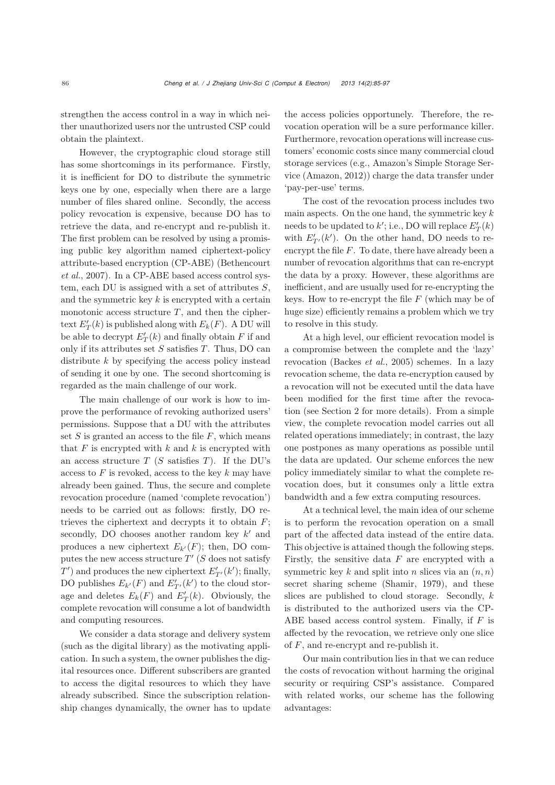strengthen the access control in a way in which neither unauthorized users nor the untrusted CSP could obtain the plaintext.

However, the cryptographic cloud storage still has some shortcomings in its performance. Firstly, it is inefficient for DO to distribute the symmetric keys one by one, especially when there are a large number of files shared online. Secondly, the access policy revocation is expensive, because DO has to retrieve the data, and re-encrypt and re-publish it. The first problem can be resolved by using a promising public key algorithm named ciphertext-policy attribute-based encryption (CP-ABE) (Bethencourt *et al.*, 2007). In a CP-ABE based access control system, each DU is assigned with a set of attributes  $S$ , and the symmetric key  $k$  is encrypted with a certain monotonic access structure  $T$ , and then the ciphertext  $E'_T(k)$  is published along with  $E_k(F)$ . A DU will be able to decrypt  $E_T'(k)$  and finally obtain F if and only if its attributes set  $S$  satisfies  $T$ . Thus, DO can distribute  $k$  by specifying the access policy instead of sending it one by one. The second shortcoming is regarded as the main challenge of our work.

The main challenge of our work is how to improve the performance of revoking authorized users' permissions. Suppose that a DU with the attributes set  $S$  is granted an access to the file  $F$ , which means that  $F$  is encrypted with  $k$  and  $k$  is encrypted with an access structure  $T$  (S satisfies T). If the DU's access to  $F$  is revoked, access to the key  $k$  may have already been gained. Thus, the secure and complete revocation procedure (named 'complete revocation') needs to be carried out as follows: firstly, DO retrieves the ciphertext and decrypts it to obtain  $F$ ; secondly, DO chooses another random key  $k'$  and produces a new ciphertext  $E_{k'}(F)$ ; then, DO computes the new access structure  $T'$  (S does not satisfy  $T'$  and produces the new ciphertext  $E'_{T'}(k')$ ; finally, DO publishes  $E_{k'}(F)$  and  $E'_{T'}(k')$  to the cloud storage and deletes  $E_k(F)$  and  $E'_T(k)$ . Obviously, the complete revocation will consume a lot of bandwidth and computing resources.

We consider a data storage and delivery system (such as the digital library) as the motivating application. In such a system, the owner publishes the digital resources once. Different subscribers are granted to access the digital resources to which they have already subscribed. Since the subscription relationship changes dynamically, the owner has to update the access policies opportunely. Therefore, the revocation operation will be a sure performance killer. Furthermore, revocation operations will increase customers' economic costs since many commercial cloud storage services (e.g., Amazon's Simple Storage Service (Amazon, 2012)) charge the data transfer under 'pay-per-use' terms.

The cost of the revocation process includes two main aspects. On the one hand, the symmetric key  $k$ needs to be updated to  $k'$ ; i.e., DO will replace  $E'_T(k)$ with  $E'_{T'}(k')$ . On the other hand, DO needs to reencrypt the file  $F$ . To date, there have already been a number of revocation algorithms that can re-encrypt the data by a proxy. However, these algorithms are inefficient, and are usually used for re-encrypting the keys. How to re-encrypt the file  $F$  (which may be of huge size) efficiently remains a problem which we try to resolve in this study.

At a high level, our efficient revocation model is a compromise between the complete and the 'lazy' revocation (Backes *et al.*, 2005) schemes. In a lazy revocation scheme, the data re-encryption caused by a revocation will not be executed until the data have been modified for the first time after the revocation (see Section 2 for more details). From a simple view, the complete revocation model carries out all related operations immediately; in contrast, the lazy one postpones as many operations as possible until the data are updated. Our scheme enforces the new policy immediately similar to what the complete revocation does, but it consumes only a little extra bandwidth and a few extra computing resources.

At a technical level, the main idea of our scheme is to perform the revocation operation on a small part of the affected data instead of the entire data. This objective is attained though the following steps. Firstly, the sensitive data  $F$  are encrypted with a symmetric key k and split into n slices via an  $(n, n)$ secret sharing scheme (Shamir, 1979), and these slices are published to cloud storage. Secondly,  $k$ is distributed to the authorized users via the CP-ABE based access control system. Finally, if  $F$  is affected by the revocation, we retrieve only one slice of  $F$ , and re-encrypt and re-publish it.

Our main contribution lies in that we can reduce the costs of revocation without harming the original security or requiring CSP's assistance. Compared with related works, our scheme has the following advantages: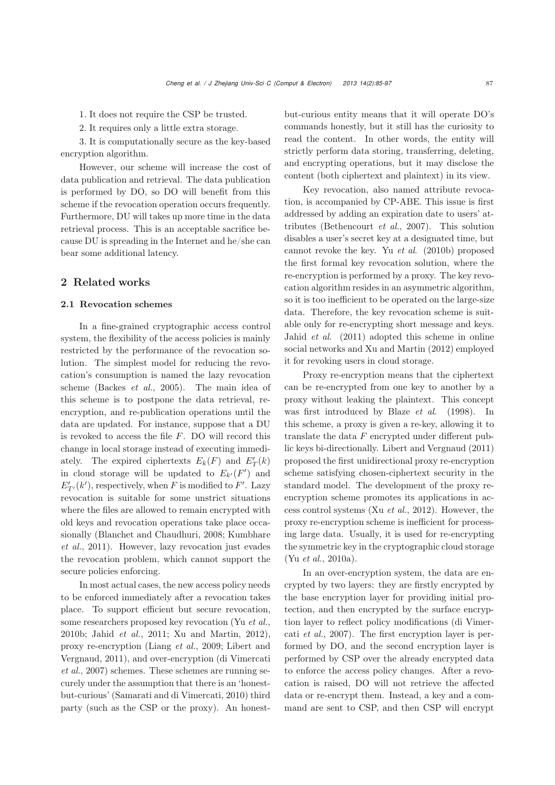1. It does not require the CSP be trusted.

2. It requires only a little extra storage.

3. It is computationally secure as the key-based encryption algorithm.

However, our scheme will increase the cost of data publication and retrieval. The data publication is performed by DO, so DO will benefit from this scheme if the revocation operation occurs frequently. Furthermore, DU will takes up more time in the data retrieval process. This is an acceptable sacrifice because DU is spreading in the Internet and he/she can bear some additional latency.

## 2 Related works

#### 2.1 Revocation schemes

In a fine-grained cryptographic access control system, the flexibility of the access policies is mainly restricted by the performance of the revocation solution. The simplest model for reducing the revocation's consumption is named the lazy revocation scheme (Backes *et al.*, 2005). The main idea of this scheme is to postpone the data retrieval, reencryption, and re-publication operations until the data are updated. For instance, suppose that a DU is revoked to access the file F. DO will record this change in local storage instead of executing immediately. The expired ciphertexts  $E_k(F)$  and  $E'_T(k)$ in cloud storage will be updated to  $E_{k'}(F')$  and  $E'_{T'}(k')$ , respectively, when F is modified to F'. Lazy revocation is suitable for some unstrict situations where the files are allowed to remain encrypted with old keys and revocation operations take place occasionally (Blanchet and Chaudhuri, 2008; Kumbhare *et al.*, 2011). However, lazy revocation just evades the revocation problem, which cannot support the secure policies enforcing.

In most actual cases, the new access policy needs to be enforced immediately after a revocation takes place. To support efficient but secure revocation, some researchers proposed key revocation (Yu *et al.*, 2010b; Jahid *et al.*, 2011; Xu and Martin, 2012), proxy re-encryption (Liang *et al.*, 2009; Libert and Vergnaud, 2011), and over-encryption (di Vimercati *et al.*, 2007) schemes. These schemes are running securely under the assumption that there is an 'honestbut-curious' (Samarati and di Vimercati, 2010) third party (such as the CSP or the proxy). An honestbut-curious entity means that it will operate DO's commands honestly, but it still has the curiosity to read the content. In other words, the entity will strictly perform data storing, transferring, deleting, and encrypting operations, but it may disclose the content (both ciphertext and plaintext) in its view.

Key revocation, also named attribute revocation, is accompanied by CP-ABE. This issue is first addressed by adding an expiration date to users' attributes (Bethencourt *et al.*, 2007). This solution disables a user's secret key at a designated time, but cannot revoke the key. Yu *et al*. (2010b) proposed the first formal key revocation solution, where the re-encryption is performed by a proxy. The key revocation algorithm resides in an asymmetric algorithm, so it is too inefficient to be operated on the large-size data. Therefore, the key revocation scheme is suitable only for re-encrypting short message and keys. Jahid *et al*. (2011) adopted this scheme in online social networks and Xu and Martin (2012) employed it for revoking users in cloud storage.

Proxy re-encryption means that the ciphertext can be re-encrypted from one key to another by a proxy without leaking the plaintext. This concept was first introduced by Blaze *et al*. (1998). In this scheme, a proxy is given a re-key, allowing it to translate the data  $F$  encrypted under different public keys bi-directionally. Libert and Vergnaud (2011) proposed the first unidirectional proxy re-encryption scheme satisfying chosen-ciphertext security in the standard model. The development of the proxy reencryption scheme promotes its applications in access control systems (Xu *et al.*, 2012). However, the proxy re-encryption scheme is inefficient for processing large data. Usually, it is used for re-encrypting the symmetric key in the cryptographic cloud storage (Yu *et al.*, 2010a).

In an over-encryption system, the data are encrypted by two layers: they are firstly encrypted by the base encryption layer for providing initial protection, and then encrypted by the surface encryption layer to reflect policy modifications (di Vimercati *et al.*, 2007). The first encryption layer is performed by DO, and the second encryption layer is performed by CSP over the already encrypted data to enforce the access policy changes. After a revocation is raised, DO will not retrieve the affected data or re-encrypt them. Instead, a key and a command are sent to CSP, and then CSP will encrypt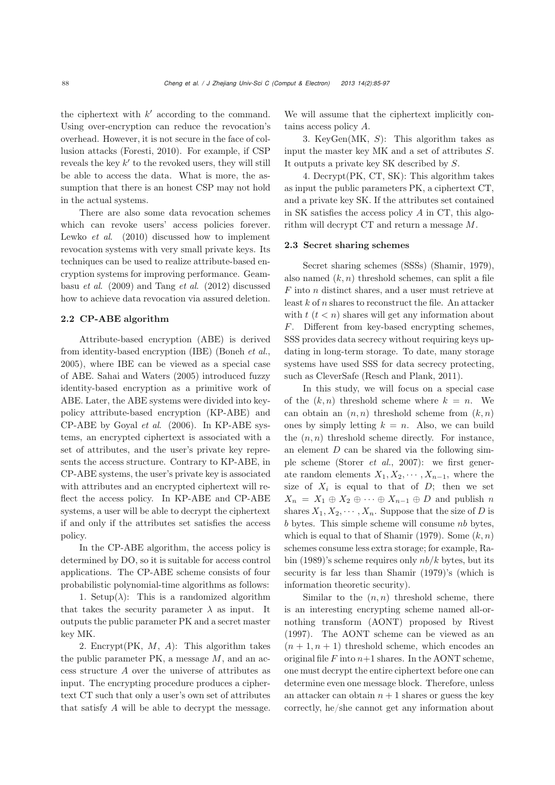the ciphertext with  $k'$  according to the command. Using over-encryption can reduce the revocation's overhead. However, it is not secure in the face of collusion attacks (Foresti, 2010). For example, if CSP reveals the key  $k'$  to the revoked users, they will still be able to access the data. What is more, the assumption that there is an honest CSP may not hold in the actual systems.

There are also some data revocation schemes which can revoke users' access policies forever. Lewko *et al*. (2010) discussed how to implement revocation systems with very small private keys. Its techniques can be used to realize attribute-based encryption systems for improving performance. Geambasu *et al*. (2009) and Tang *et al*. (2012) discussed how to achieve data revocation via assured deletion.

#### 2.2 CP-ABE algorithm

Attribute-based encryption (ABE) is derived from identity-based encryption (IBE) (Boneh *et al.*, 2005), where IBE can be viewed as a special case of ABE. Sahai and Waters (2005) introduced fuzzy identity-based encryption as a primitive work of ABE. Later, the ABE systems were divided into keypolicy attribute-based encryption (KP-ABE) and CP-ABE by Goyal *et al*. (2006). In KP-ABE systems, an encrypted ciphertext is associated with a set of attributes, and the user's private key represents the access structure. Contrary to KP-ABE, in CP-ABE systems, the user's private key is associated with attributes and an encrypted ciphertext will reflect the access policy. In KP-ABE and CP-ABE systems, a user will be able to decrypt the ciphertext if and only if the attributes set satisfies the access policy.

In the CP-ABE algorithm, the access policy is determined by DO, so it is suitable for access control applications. The CP-ABE scheme consists of four probabilistic polynomial-time algorithms as follows:

1. Setup $(\lambda)$ : This is a randomized algorithm that takes the security parameter  $\lambda$  as input. It outputs the public parameter PK and a secret master key MK.

2. Encrypt $(PK, M, A)$ : This algorithm takes the public parameter  $PK$ , a message  $M$ , and an access structure A over the universe of attributes as input. The encrypting procedure produces a ciphertext CT such that only a user's own set of attributes that satisfy  $A$  will be able to decrypt the message.

We will assume that the ciphertext implicitly contains access policy A.

3. KeyGen(MK, S): This algorithm takes as input the master key MK and a set of attributes S. It outputs a private key SK described by S.

4. Decrypt(PK, CT, SK): This algorithm takes as input the public parameters PK, a ciphertext CT, and a private key SK. If the attributes set contained in SK satisfies the access policy A in CT, this algorithm will decrypt CT and return a message M.

#### 2.3 Secret sharing schemes

Secret sharing schemes (SSSs) (Shamir, 1979), also named  $(k, n)$  threshold schemes, can split a file  $F$  into  $n$  distinct shares, and a user must retrieve at least  $k$  of  $n$  shares to reconstruct the file. An attacker with  $t (t < n)$  shares will get any information about F. Different from key-based encrypting schemes, SSS provides data secrecy without requiring keys updating in long-term storage. To date, many storage systems have used SSS for data secrecy protecting, such as CleverSafe (Resch and Plank, 2011).

In this study, we will focus on a special case of the  $(k, n)$  threshold scheme where  $k = n$ . We can obtain an  $(n, n)$  threshold scheme from  $(k, n)$ ones by simply letting  $k = n$ . Also, we can build the  $(n, n)$  threshold scheme directly. For instance, an element  $D$  can be shared via the following simple scheme (Storer *et al.*, 2007): we first generate random elements  $X_1, X_2, \cdots, X_{n-1}$ , where the size of  $X_i$  is equal to that of  $D$ ; then we set  $X_n = X_1 \oplus X_2 \oplus \cdots \oplus X_{n-1} \oplus D$  and publish n shares  $X_1, X_2, \cdots, X_n$ . Suppose that the size of D is  $b$  bytes. This simple scheme will consume  $nb$  bytes, which is equal to that of Shamir (1979). Some  $(k, n)$ schemes consume less extra storage; for example, Rabin (1989)'s scheme requires only  $nb/k$  bytes, but its security is far less than Shamir (1979)'s (which is information theoretic security).

Similar to the  $(n, n)$  threshold scheme, there is an interesting encrypting scheme named all-ornothing transform (AONT) proposed by Rivest (1997). The AONT scheme can be viewed as an  $(n + 1, n + 1)$  threshold scheme, which encodes an original file F into  $n+1$  shares. In the AONT scheme, one must decrypt the entire ciphertext before one can determine even one message block. Therefore, unless an attacker can obtain  $n + 1$  shares or guess the key correctly, he/she cannot get any information about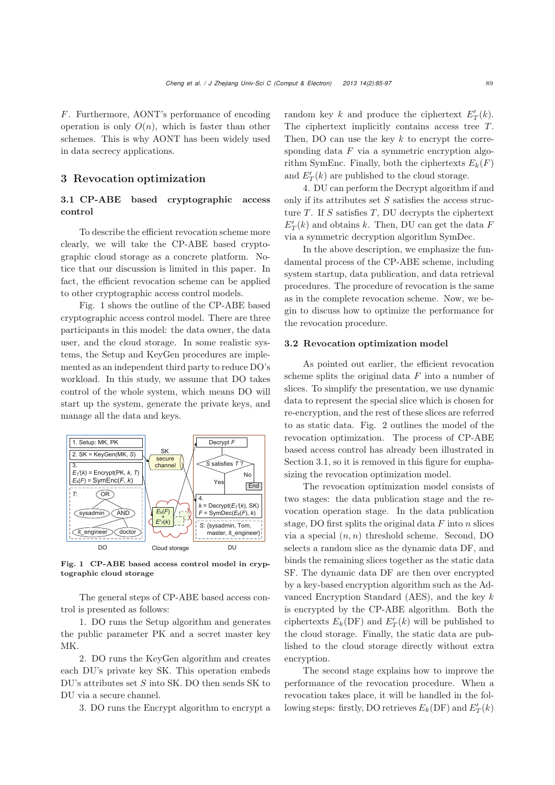F. Furthermore, AONT's performance of encoding operation is only  $O(n)$ , which is faster than other schemes. This is why AONT has been widely used in data secrecy applications.

## 3 Revocation optimization

## 3.1 CP-ABE based cryptographic access control

To describe the efficient revocation scheme more clearly, we will take the CP-ABE based cryptographic cloud storage as a concrete platform. Notice that our discussion is limited in this paper. In fact, the efficient revocation scheme can be applied to other cryptographic access control models.

Fig. 1 shows the outline of the CP-ABE based cryptographic access control model. There are three participants in this model: the data owner, the data user, and the cloud storage. In some realistic systems, the Setup and KeyGen procedures are implemented as an independent third party to reduce DO's workload. In this study, we assume that DO takes control of the whole system, which means DO will start up the system, generate the private keys, and manage all the data and keys.



Fig. 1 CP-ABE based access control model in cryptographic cloud storage

The general steps of CP-ABE based access control is presented as follows:

1. DO runs the Setup algorithm and generates the public parameter PK and a secret master key MK.

2. DO runs the KeyGen algorithm and creates each DU's private key SK. This operation embeds DU's attributes set  $S$  into SK. DO then sends SK to DU via a secure channel.

3. DO runs the Encrypt algorithm to encrypt a

random key k and produce the ciphertext  $E'_T(k)$ . The ciphertext implicitly contains access tree  $T$ . Then, DO can use the key  $k$  to encrypt the corresponding data  $F$  via a symmetric encryption algorithm SymEnc. Finally, both the ciphertexts  $E_k(F)$ and  $E_T'(k)$  are published to the cloud storage.

4. DU can perform the Decrypt algorithm if and only if its attributes set  $S$  satisfies the access structure  $T$ . If  $S$  satisfies  $T$ , DU decrypts the ciphertext  $E_T'(k)$  and obtains k. Then, DU can get the data  $F$ via a symmetric decryption algorithm SymDec.

In the above description, we emphasize the fundamental process of the CP-ABE scheme, including system startup, data publication, and data retrieval procedures. The procedure of revocation is the same as in the complete revocation scheme. Now, we begin to discuss how to optimize the performance for the revocation procedure.

#### 3.2 Revocation optimization model

As pointed out earlier, the efficient revocation scheme splits the original data  $F$  into a number of slices. To simplify the presentation, we use dynamic data to represent the special slice which is chosen for re-encryption, and the rest of these slices are referred to as static data. Fig. 2 outlines the model of the revocation optimization. The process of CP-ABE based access control has already been illustrated in Section 3.1, so it is removed in this figure for emphasizing the revocation optimization model.

The revocation optimization model consists of two stages: the data publication stage and the revocation operation stage. In the data publication stage, DO first splits the original data  $F$  into  $n$  slices via a special  $(n, n)$  threshold scheme. Second, DO selects a random slice as the dynamic data DF, and binds the remaining slices together as the static data SF. The dynamic data DF are then over encrypted by a key-based encryption algorithm such as the Advanced Encryption Standard (AES), and the key k is encrypted by the CP-ABE algorithm. Both the ciphertexts  $E_k(\text{DF})$  and  $E'_T(k)$  will be published to the cloud storage. Finally, the static data are published to the cloud storage directly without extra encryption.

The second stage explains how to improve the performance of the revocation procedure. When a revocation takes place, it will be handled in the following steps: firstly, DO retrieves  $E_k(\text{DF})$  and  $E'_T(k)$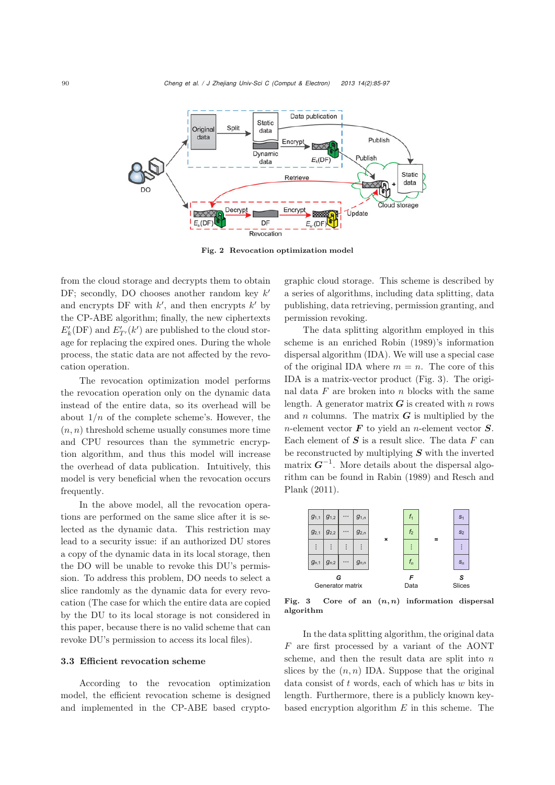

Fig. 2 Revocation optimization model

from the cloud storage and decrypts them to obtain DF; secondly, DO chooses another random key  $k'$ and encrypts DF with  $k'$ , and then encrypts  $k'$  by the CP-ABE algorithm; finally, the new ciphertexts  $E'_{k}(\text{DF})$  and  $E'_{T'}(k')$  are published to the cloud storage for replacing the expired ones. During the whole process, the static data are not affected by the revocation operation.

The revocation optimization model performs the revocation operation only on the dynamic data instead of the entire data, so its overhead will be about  $1/n$  of the complete scheme's. However, the  $(n, n)$  threshold scheme usually consumes more time and CPU resources than the symmetric encryption algorithm, and thus this model will increase the overhead of data publication. Intuitively, this model is very beneficial when the revocation occurs frequently.

In the above model, all the revocation operations are performed on the same slice after it is selected as the dynamic data. This restriction may lead to a security issue: if an authorized DU stores a copy of the dynamic data in its local storage, then the DO will be unable to revoke this DU's permission. To address this problem, DO needs to select a slice randomly as the dynamic data for every revocation (The case for which the entire data are copied by the DU to its local storage is not considered in this paper, because there is no valid scheme that can revoke DU's permission to access its local files).

#### 3.3 Efficient revocation scheme

According to the revocation optimization model, the efficient revocation scheme is designed and implemented in the CP-ABE based cryptographic cloud storage. This scheme is described by a series of algorithms, including data splitting, data publishing, data retrieving, permission granting, and permission revoking.

The data splitting algorithm employed in this scheme is an enriched Robin (1989)'s information dispersal algorithm (IDA). We will use a special case of the original IDA where  $m = n$ . The core of this IDA is a matrix-vector product (Fig. 3). The original data  $F$  are broken into  $n$  blocks with the same length. A generator matrix  $G$  is created with n rows and *n* columns. The matrix  $G$  is multiplied by the *n*-element vector  $\boldsymbol{F}$  to yield an *n*-element vector  $\boldsymbol{S}$ . Each element of  $S$  is a result slice. The data  $F$  can be reconstructed by multiplying *S* with the inverted matrix *G*−1. More details about the dispersal algorithm can be found in Rabin (1989) and Resch and Plank (2011).



Fig. 3 Core of an  $(n, n)$  information dispersal algorithm

In the data splitting algorithm, the original data F are first processed by a variant of the AONT scheme, and then the result data are split into  $n$ slices by the  $(n, n)$  IDA. Suppose that the original data consist of  $t$  words, each of which has  $w$  bits in length. Furthermore, there is a publicly known keybased encryption algorithm  $E$  in this scheme. The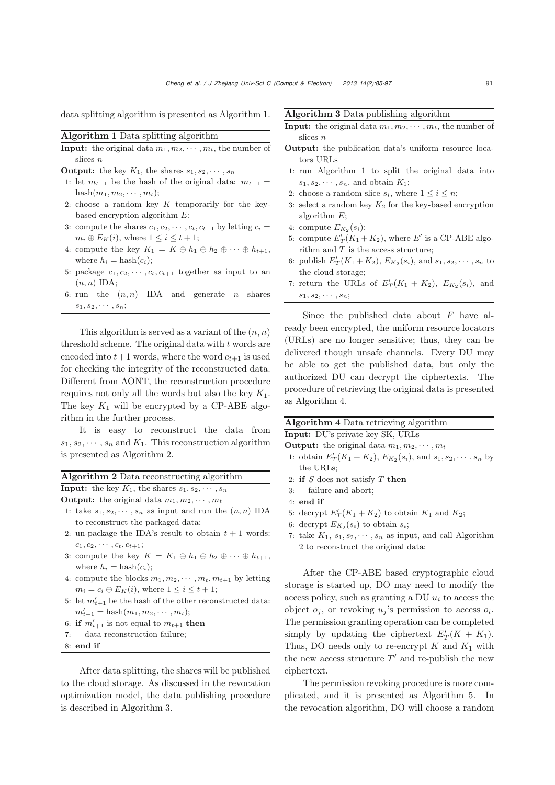data splitting algorithm is presented as Algorithm 1.

#### Algorithm 1 Data splitting algorithm

- **Input:** the original data  $m_1, m_2, \cdots, m_t$ , the number of slices *n*
- Output: the key  $K_1$ , the shares  $s_1, s_2, \dots, s_n$
- 1: let  $m_{t+1}$  be the hash of the original data:  $m_{t+1} =$  $\text{hash}(m_1, m_2, \cdots, m_t);$
- 2: choose a random key *K* temporarily for the keybased encryption algorithm *E*;
- 3: compute the shares  $c_1, c_2, \cdots, c_t, c_{t+1}$  by letting  $c_i =$  $m_i \oplus E_K(i)$ , where  $1 \leq i \leq t+1$ ;
- 4: compute the key  $K_1 = K \oplus h_1 \oplus h_2 \oplus \cdots \oplus h_{t+1}$ , where  $h_i = \text{hash}(c_i);$
- 5: package  $c_1, c_2, \cdots, c_t, c_{t+1}$  together as input to an (*n, n*) IDA;
- 6: run the  $(n, n)$  IDA and generate *n* shares  $s_1, s_2, \cdots, s_n;$

This algorithm is served as a variant of the  $(n, n)$ threshold scheme. The original data with  $t$  words are encoded into  $t+1$  words, where the word  $c_{t+1}$  is used for checking the integrity of the reconstructed data. Different from AONT, the reconstruction procedure requires not only all the words but also the key  $K_1$ . The key  $K_1$  will be encrypted by a CP-ABE algorithm in the further process.

It is easy to reconstruct the data from  $s_1, s_2, \dots, s_n$  and  $K_1$ . This reconstruction algorithm is presented as Algorithm 2.

#### Algorithm 2 Data reconstructing algorithm

**Input:** the key  $K_1$ , the shares  $s_1, s_2, \dots, s_n$ 

**Output:** the original data  $m_1, m_2, \cdots, m_t$ 

- 1: take  $s_1, s_2, \dots, s_n$  as input and run the  $(n, n)$  IDA to reconstruct the packaged data;
- 2: un-package the IDA's result to obtain  $t + 1$  words:  $c_1, c_2, \cdots, c_t, c_{t+1};$
- 3: compute the key  $K = K_1 \oplus h_1 \oplus h_2 \oplus \cdots \oplus h_{t+1}$ , where  $h_i = \text{hash}(c_i)$ ;
- 4: compute the blocks  $m_1, m_2, \cdots, m_t, m_{t+1}$  by letting  $m_i = c_i \oplus E_K(i)$ , where  $1 \leq i \leq t+1$ ;
- 5: let  $m'_{t+1}$  be the hash of the other reconstructed data:  $m'_{t+1} = \text{hash}(m_1, m_2, \cdots, m_t);$
- 6: if  $m'_{t+1}$  is not equal to  $m_{t+1}$  then
- 7: data reconstruction failure;
- 8: end if

After data splitting, the shares will be published to the cloud storage. As discussed in the revocation optimization model, the data publishing procedure is described in Algorithm 3.

Algorithm 3 Data publishing algorithm

- **Input:** the original data  $m_1, m_2, \cdots, m_t$ , the number of slices *n*
- Output: the publication data's uniform resource locators URLs
- 1: run Algorithm 1 to split the original data into  $s_1, s_2, \cdots, s_n$ , and obtain  $K_1$ ;
- 2: choose a random slice  $s_i$ , where  $1 \leq i \leq n$ ;
- 3: select a random key  $K_2$  for the key-based encryption algorithm *E*;
- 4: compute  $E_{K_2}(s_i)$ ;
- 5: compute  $E'_T(K_1 + K_2)$ , where  $E'$  is a CP-ABE algorithm and *T* is the access structure;
- 6: publish  $E'_T(K_1 + K_2)$ ,  $E_{K_2}(s_i)$ , and  $s_1, s_2, \dots, s_n$  to the cloud storage;
- 7: return the URLs of  $E'_T(K_1 + K_2)$ ,  $E_{K_2}(s_i)$ , and  $s_1, s_2, \cdots, s_n;$

Since the published data about  $F$  have already been encrypted, the uniform resource locators (URLs) are no longer sensitive; thus, they can be delivered though unsafe channels. Every DU may be able to get the published data, but only the authorized DU can decrypt the ciphertexts. The procedure of retrieving the original data is presented as Algorithm 4.

| <b>Algorithm 4</b> Data retrieving algorithm                              |
|---------------------------------------------------------------------------|
| Input: DU's private key SK, URLs                                          |
| <b>Output:</b> the original data $m_1, m_2, \cdots, m_t$                  |
| 1: obtain $E'_T(K_1 + K_2), E_{K_2}(s_i)$ , and $s_1, s_2, \dots, s_n$ by |
| the URLs:                                                                 |
| 2: if S does not satisfy T then                                           |
| 3: failure and abort;                                                     |
| 4: end if                                                                 |
| 5: decrypt $E'_T(K_1+K_2)$ to obtain $K_1$ and $K_2$ ;                    |
| 6: decrypt $E_{K_2}(s_i)$ to obtain $s_i$ ;                               |
| 7: take $K_1, s_1, s_2, \cdots, s_n$ as input, and call Algorithm         |
| 2 to reconstruct the original data;                                       |
|                                                                           |

After the CP-ABE based cryptographic cloud storage is started up, DO may need to modify the access policy, such as granting a DU u*<sup>i</sup>* to access the object  $o_i$ , or revoking  $u_i$ 's permission to access  $o_i$ . The permission granting operation can be completed simply by updating the ciphertext  $E'_T(K+K_1)$ . Thus, DO needs only to re-encrypt  $K$  and  $K_1$  with the new access structure  $T'$  and re-publish the new ciphertext.

The permission revoking procedure is more complicated, and it is presented as Algorithm 5. the revocation algorithm, DO will choose a random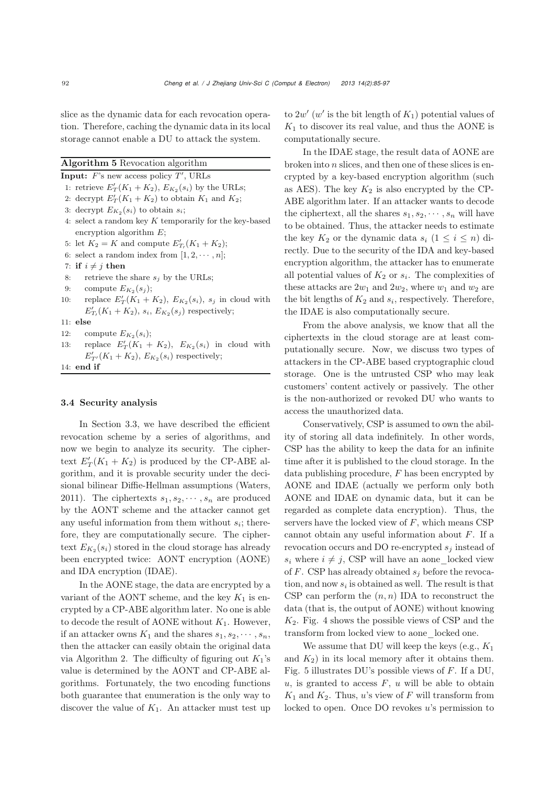slice as the dynamic data for each revocation operation. Therefore, caching the dynamic data in its local storage cannot enable a DU to attack the system.

# Algorithm 5 Revocation algorithm

- **Input:**  $F$ 's new access policy  $T'$ , URLs
- 1: retrieve  $E'_T(K_1 + K_2)$ ,  $E_{K_2}(s_i)$  by the URLs;
- 2: decrypt  $E'_T(K_1 + K_2)$  to obtain  $K_1$  and  $K_2$ ;
- 3: decrypt  $E_{K_2}(s_i)$  to obtain  $s_i$ ;
- 4: select a random key *K* temporarily for the key-based encryption algorithm *E*;
- 5: let  $K_2 = K$  and compute  $E'_{T_1}(K_1 + K_2)$ ;
- 6: select a random index from  $[1, 2, \cdots, n]$ ;
- 7: if  $i \neq j$  then
- 8: retrieve the share  $s_j$  by the URLs;
- 9: compute  $E_{K_2}(s_j)$ ;
- 10: replace  $E'_T(K_1 + K_2)$ ,  $E_{K_2}(s_i)$ ,  $s_j$  in cloud with  $E'_{T}$   $(K_1 + K_2)$ ,  $s_i$ ,  $E_{K_2}(s_j)$  respectively;
- 11: else
- 12: compute  $E_{K_2}(s_i)$ ;
- 13: replace  $E'_T(K_1 + K_2)$ ,  $E_{K_2}(s_i)$  in cloud with  $E'_{T'}(K_1 + K_2)$ ,  $E_{K_2}(s_i)$  respectively;
- 14: end if

#### 3.4 Security analysis

In Section 3.3, we have described the efficient revocation scheme by a series of algorithms, and now we begin to analyze its security. The ciphertext  $E_T'(K_1 + K_2)$  is produced by the CP-ABE algorithm, and it is provable security under the decisional bilinear Diffie-Hellman assumptions (Waters, 2011). The ciphertexts  $s_1, s_2, \dots, s_n$  are produced by the AONT scheme and the attacker cannot get any useful information from them without  $s_i$ ; therefore, they are computationally secure. The ciphertext  $E_{K_2}(s_i)$  stored in the cloud storage has already been encrypted twice: AONT encryption (AONE) and IDA encryption (IDAE).

In the AONE stage, the data are encrypted by a variant of the AONT scheme, and the key  $K_1$  is encrypted by a CP-ABE algorithm later. No one is able to decode the result of AONE without  $K_1$ . However, if an attacker owns  $K_1$  and the shares  $s_1, s_2, \dots, s_n$ , then the attacker can easily obtain the original data via Algorithm 2. The difficulty of figuring out  $K_1$ 's value is determined by the AONT and CP-ABE algorithms. Fortunately, the two encoding functions both guarantee that enumeration is the only way to discover the value of  $K_1$ . An attacker must test up

to  $2w'$  (w' is the bit length of  $K_1$ ) potential values of  $K_1$  to discover its real value, and thus the AONE is computationally secure.

In the IDAE stage, the result data of AONE are broken into  $n$  slices, and then one of these slices is encrypted by a key-based encryption algorithm (such as AES). The key  $K_2$  is also encrypted by the CP-ABE algorithm later. If an attacker wants to decode the ciphertext, all the shares  $s_1, s_2, \dots, s_n$  will have to be obtained. Thus, the attacker needs to estimate the key  $K_2$  or the dynamic data  $s_i$  ( $1 \leq i \leq n$ ) directly. Due to the security of the IDA and key-based encryption algorithm, the attacker has to enumerate all potential values of  $K_2$  or  $s_i$ . The complexities of these attacks are  $2w_1$  and  $2w_2$ , where  $w_1$  and  $w_2$  are the bit lengths of  $K_2$  and  $s_i$ , respectively. Therefore, the IDAE is also computationally secure.

From the above analysis, we know that all the ciphertexts in the cloud storage are at least computationally secure. Now, we discuss two types of attackers in the CP-ABE based cryptographic cloud storage. One is the untrusted CSP who may leak customers' content actively or passively. The other is the non-authorized or revoked DU who wants to access the unauthorized data.

Conservatively, CSP is assumed to own the ability of storing all data indefinitely. In other words, CSP has the ability to keep the data for an infinite time after it is published to the cloud storage. In the data publishing procedure,  $F$  has been encrypted by AONE and IDAE (actually we perform only both AONE and IDAE on dynamic data, but it can be regarded as complete data encryption). Thus, the servers have the locked view of  $F$ , which means CSP cannot obtain any useful information about  $F$ . If a revocation occurs and DO re-encrypted s*<sup>j</sup>* instead of  $s_i$  where  $i \neq j$ , CSP will have an aone locked view of  $F$ . CSP has already obtained  $s_j$  before the revocation, and now  $s_i$  is obtained as well. The result is that CSP can perform the  $(n, n)$  IDA to reconstruct the data (that is, the output of AONE) without knowing  $K_2$ . Fig. 4 shows the possible views of CSP and the transform from locked view to aone\_locked one.

We assume that DU will keep the keys (e.g.,  $K_1$ ) and  $K_2$ ) in its local memory after it obtains them. Fig. 5 illustrates DU's possible views of F. If a DU,  $u$ , is granted to access  $F$ ,  $u$  will be able to obtain  $K_1$  and  $K_2$ . Thus, u's view of F will transform from locked to open. Once DO revokes u's permission to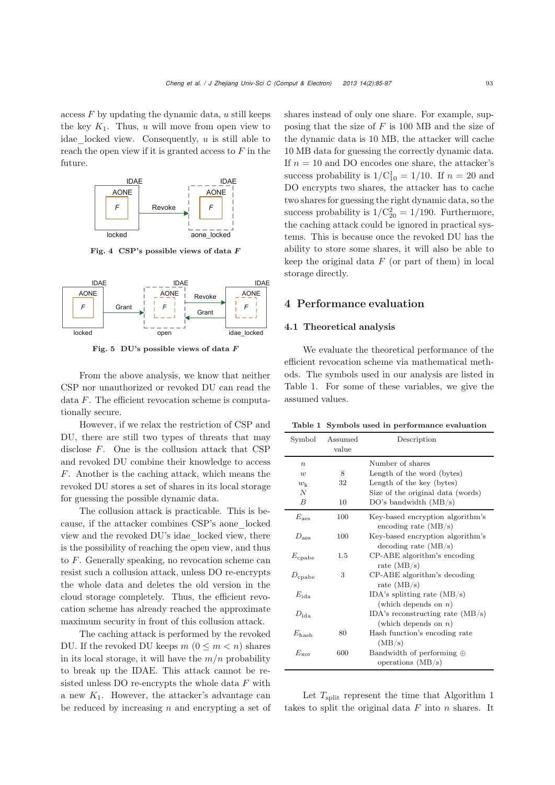access  $F$  by updating the dynamic data,  $u$  still keeps the key  $K_1$ . Thus, u will move from open view to idae locked view. Consequently,  $u$  is still able to reach the open view if it is granted access to  $F$  in the future.



Fig. 4 CSP's possible views of data *F*



Fig. 5 DU's possible views of data *F*

From the above analysis, we know that neither CSP nor unauthorized or revoked DU can read the data  $F$ . The efficient revocation scheme is computationally secure.

However, if we relax the restriction of CSP and DU, there are still two types of threats that may disclose F. One is the collusion attack that CSP and revoked DU combine their knowledge to access F. Another is the caching attack, which means the revoked DU stores a set of shares in its local storage for guessing the possible dynamic data.

The collusion attack is practicable. This is because, if the attacker combines CSP's aone\_locked view and the revoked DU's idae\_locked view, there is the possibility of reaching the open view, and thus to F. Generally speaking, no revocation scheme can resist such a collusion attack, unless DO re-encrypts the whole data and deletes the old version in the cloud storage completely. Thus, the efficient revocation scheme has already reached the approximate maximum security in front of this collusion attack.

The caching attack is performed by the revoked DU. If the revoked DU keeps  $m (0 \leq m < n)$  shares in its local storage, it will have the  $m/n$  probability to break up the IDAE. This attack cannot be resisted unless DO re-encrypts the whole data  $F$  with a new  $K_1$ . However, the attacker's advantage can be reduced by increasing  $n$  and encrypting a set of shares instead of only one share. For example, supposing that the size of  $F$  is 100 MB and the size of the dynamic data is 10 MB, the attacker will cache 10 MB data for guessing the correctly dynamic data. If  $n = 10$  and DO encodes one share, the attacker's success probability is  $1/C_{10}^1 = 1/10$ . If  $n = 20$  and DO encrypts two shares, the attacker has to cache two shares for guessing the right dynamic data, so the success probability is  $1/C_{20}^2 = 1/190$ . Furthermore, the caching attack could be ignored in practical systems. This is because once the revoked DU has the ability to store some shares, it will also be able to keep the original data  $F$  (or part of them) in local storage directly.

#### 4 Performance evaluation

#### 4.1 Theoretical analysis

We evaluate the theoretical performance of the efficient revocation scheme via mathematical methods. The symbols used in our analysis are listed in Table 1. For some of these variables, we give the assumed values.

Table 1 Symbols used in performance evaluation

| Symbol           | Assumed | Description                                                   |
|------------------|---------|---------------------------------------------------------------|
|                  | value   |                                                               |
| $\boldsymbol{n}$ |         | Number of shares                                              |
| w                | 8       | Length of the word (bytes)                                    |
| $w_{k}$          | 32      | Length of the key (bytes)                                     |
| N                |         | Size of the original data (words)                             |
| $\boldsymbol{B}$ | 10      | $DO's$ bandwidth $(MB/s)$                                     |
| $E_{\rm{aes}}$   | 100     | Key-based encryption algorithm's<br>encoding rate $(MB/s)$    |
| $D_{\text{aes}}$ | 100     | Key-based encryption algorithm's<br>decoding rate $(MB/s)$    |
| $E_{\rm cpabe}$  | 1.5     | CP-ABE algorithm's encoding<br>rate $(MB/s)$                  |
| $D_{\rm cpabe}$  | 3       | CP-ABE algorithm's decoding<br>rate $(MB/s)$                  |
| $E_{\rm ida}$    |         | IDA's splitting rate $(MB/s)$<br>(which depends on $n$ )      |
| $D_{\rm ida}$    |         | IDA's reconstructing rate $(MB/s)$<br>(which depends on $n$ ) |
| $E_{\rm hash}$   | 80      | Hash function's encoding rate<br>(MB/s)                       |
| $E_{\rm vor}$    | 600     | Bandwidth of performing $\oplus$<br>operations $(MB/s)$       |

Let  $T_{\text{split}}$  represent the time that Algorithm 1 takes to split the original data  $F$  into  $n$  shares. It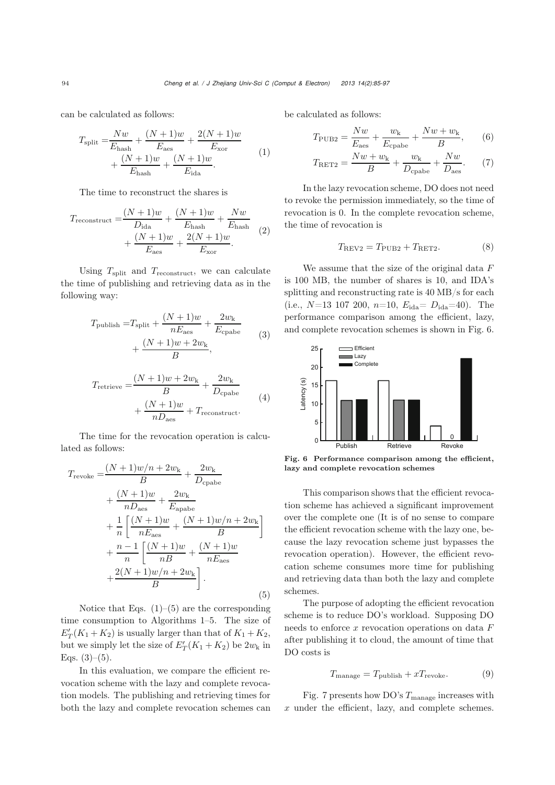can be calculated as follows:

$$
T_{\text{split}} = \frac{Nw}{E_{\text{hash}}} + \frac{(N+1)w}{E_{\text{acs}}} + \frac{2(N+1)w}{E_{\text{xor}}} + \frac{(N+1)w}{E_{\text{hash}}} + \frac{(N+1)w}{E_{\text{ida}}}.
$$
 (1)

The time to reconstruct the shares is

$$
T_{\text{reconstruct}} = \frac{(N+1)w}{D_{\text{ida}}} + \frac{(N+1)w}{E_{\text{hash}}} + \frac{Nw}{E_{\text{hash}}} + \frac{(N+1)w}{E_{\text{as}} + \frac{2(N+1)w}{E_{\text{xor}}}. \tag{2}
$$

Using  $T_{\text{split}}$  and  $T_{\text{reconstruct}}$ , we can calculate the time of publishing and retrieving data as in the following way:

$$
T_{\text{published}} = T_{\text{split}} + \frac{(N+1)w}{nE_{\text{aes}}} + \frac{2w_{\text{k}}}{E_{\text{cpabe}}} + \frac{(N+1)w + 2w_{\text{k}}}{B},
$$
\n(3)

$$
T_{\text{retrieve}} = \frac{(N+1)w + 2w_{k}}{B} + \frac{2w_{k}}{D_{\text{cpabe}}} + \frac{(N+1)w}{nD_{\text{aes}}} + T_{\text{reconstruct}}.
$$
\n(4)

The time for the revocation operation is calculated as follows:

$$
T_{\text{revole}} = \frac{(N+1)w/n + 2w_{k}}{B} + \frac{2w_{k}}{D_{\text{cpabe}}} + \frac{(N+1)w}{nD_{\text{aes}}} + \frac{2w_{k}}{E_{\text{apabe}}} + \frac{1}{n} \left[ \frac{(N+1)w}{nE_{\text{aes}}} + \frac{(N+1)w/n + 2w_{k}}{B} \right] + \frac{n-1}{n} \left[ \frac{(N+1)w}{nB} + \frac{(N+1)w}{nE_{\text{aes}}} + \frac{2(N+1)w/n + 2w_{k}}{B} \right].
$$
\n(5)

Notice that Eqs.  $(1)$ – $(5)$  are the corresponding time consumption to Algorithms 1–5. The size of  $E_T'(K_1+K_2)$  is usually larger than that of  $K_1+K_2$ , but we simply let the size of  $E'_T(K_1 + K_2)$  be  $2w_k$  in Eqs.  $(3)-(5)$ .

In this evaluation, we compare the efficient revocation scheme with the lazy and complete revocation models. The publishing and retrieving times for both the lazy and complete revocation schemes can be calculated as follows:

$$
T_{\rm PUB2} = \frac{Nw}{E_{\rm aes}} + \frac{w_{\rm k}}{E_{\rm cpabe}} + \frac{Nw + w_{\rm k}}{B},\qquad(6)
$$

$$
T_{\rm RET2} = \frac{Nw + w_{\rm k}}{B} + \frac{w_{\rm k}}{D_{\rm cpabe}} + \frac{Nw}{D_{\rm aes}}.\tag{7}
$$

In the lazy revocation scheme, DO does not need to revoke the permission immediately, so the time of revocation is 0. In the complete revocation scheme, the time of revocation is

$$
T_{\text{REV2}} = T_{\text{PUB2}} + T_{\text{RET2}}.\tag{8}
$$

We assume that the size of the original data  $F$ is 100 MB, the number of shares is 10, and IDA's splitting and reconstructing rate is 40 MB/s for each (i.e.,  $N=13$  107 200,  $n=10$ ,  $E_{ida}=D_{ida}=40$ ). The performance comparison among the efficient, lazy, and complete revocation schemes is shown in Fig. 6.



Fig. 6 Performance comparison among the efficient, lazy and complete revocation schemes

This comparison shows that the efficient revocation scheme has achieved a significant improvement over the complete one (It is of no sense to compare the efficient revocation scheme with the lazy one, because the lazy revocation scheme just bypasses the revocation operation). However, the efficient revocation scheme consumes more time for publishing and retrieving data than both the lazy and complete schemes.

The purpose of adopting the efficient revocation scheme is to reduce DO's workload. Supposing DO needs to enforce  $x$  revocation operations on data  $F$ after publishing it to cloud, the amount of time that DO costs is

$$
T_{\text{manage}} = T_{\text{published}} + xT_{\text{reooke}}.\tag{9}
$$

Fig. 7 presents how DO's  $T_{\rm manage}$  increases with  $x$  under the efficient, lazy, and complete schemes.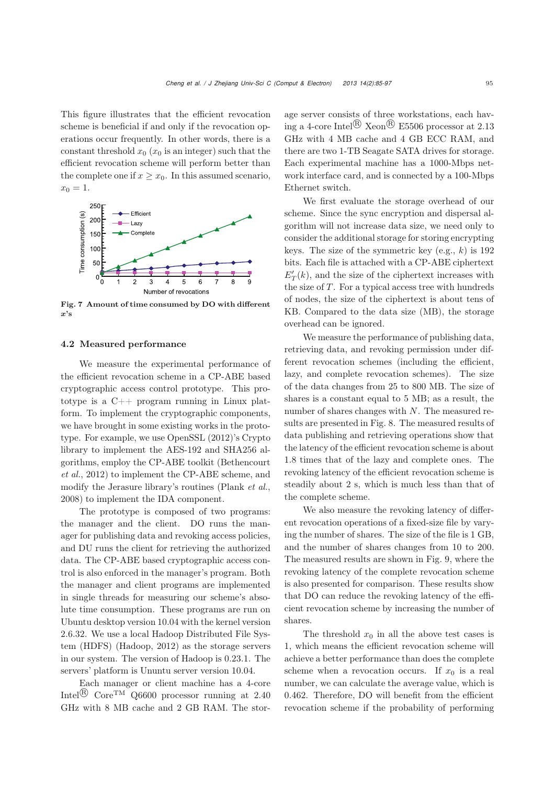This figure illustrates that the efficient revocation scheme is beneficial if and only if the revocation operations occur frequently. In other words, there is a constant threshold  $x_0$  ( $x_0$  is an integer) such that the efficient revocation scheme will perform better than the complete one if  $x \geq x_0$ . In this assumed scenario,  $x_0 = 1.$ 



Fig. 7 Amount of time consumed by DO with different *x*'s

#### 4.2 Measured performance

We measure the experimental performance of the efficient revocation scheme in a CP-ABE based cryptographic access control prototype. This prototype is a C++ program running in Linux platform. To implement the cryptographic components, we have brought in some existing works in the prototype. For example, we use OpenSSL (2012)'s Crypto library to implement the AES-192 and SHA256 algorithms, employ the CP-ABE toolkit (Bethencourt *et al.*, 2012) to implement the CP-ABE scheme, and modify the Jerasure library's routines (Plank *et al.*, 2008) to implement the IDA component.

The prototype is composed of two programs: the manager and the client. DO runs the manager for publishing data and revoking access policies, and DU runs the client for retrieving the authorized data. The CP-ABE based cryptographic access control is also enforced in the manager's program. Both the manager and client programs are implemented in single threads for measuring our scheme's absolute time consumption. These programs are run on Ubuntu desktop version 10.04 with the kernel version 2.6.32. We use a local Hadoop Distributed File System (HDFS) (Hadoop, 2012) as the storage servers in our system. The version of Hadoop is 0.23.1. The servers' platform is Ununtu server version 10.04.

Each manager or client machine has a 4-core Intel<sup>®</sup> Core<sup>TM</sup> Q6600 processor running at 2.40 GHz with 8 MB cache and 2 GB RAM. The storage server consists of three workstations, each having a 4-core Intel<sup>(B)</sup> Xeon<sup>(B)</sup> E5506 processor at 2.13 GHz with 4 MB cache and 4 GB ECC RAM, and there are two 1-TB Seagate SATA drives for storage. Each experimental machine has a 1000-Mbps network interface card, and is connected by a 100-Mbps Ethernet switch.

We first evaluate the storage overhead of our scheme. Since the sync encryption and dispersal algorithm will not increase data size, we need only to consider the additional storage for storing encrypting keys. The size of the symmetric key  $(e.g., k)$  is 192 bits. Each file is attached with a CP-ABE ciphertext  $E_T'(k)$ , and the size of the ciphertext increases with the size of  $T$ . For a typical access tree with hundreds of nodes, the size of the ciphertext is about tens of KB. Compared to the data size (MB), the storage overhead can be ignored.

We measure the performance of publishing data, retrieving data, and revoking permission under different revocation schemes (including the efficient, lazy, and complete revocation schemes). The size of the data changes from 25 to 800 MB. The size of shares is a constant equal to 5 MB; as a result, the number of shares changes with N. The measured results are presented in Fig. 8. The measured results of data publishing and retrieving operations show that the latency of the efficient revocation scheme is about 1.8 times that of the lazy and complete ones. The revoking latency of the efficient revocation scheme is steadily about 2 s, which is much less than that of the complete scheme.

We also measure the revoking latency of different revocation operations of a fixed-size file by varying the number of shares. The size of the file is 1 GB, and the number of shares changes from 10 to 200. The measured results are shown in Fig. 9, where the revoking latency of the complete revocation scheme is also presented for comparison. These results show that DO can reduce the revoking latency of the efficient revocation scheme by increasing the number of shares.

The threshold  $x_0$  in all the above test cases is 1, which means the efficient revocation scheme will achieve a better performance than does the complete scheme when a revocation occurs. If  $x_0$  is a real number, we can calculate the average value, which is 0.462. Therefore, DO will benefit from the efficient revocation scheme if the probability of performing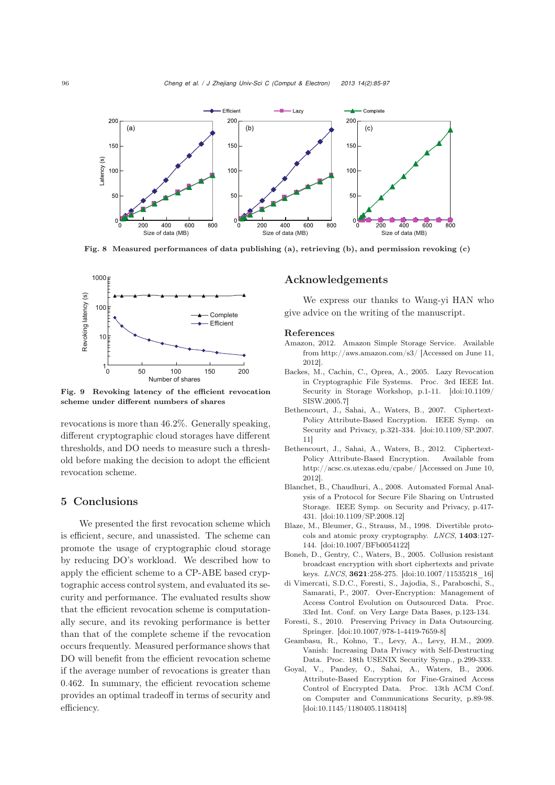

Fig. 8 Measured performances of data publishing (a), retrieving (b), and permission revoking (c)



Fig. 9 Revoking latency of the efficient revocation scheme under different numbers of shares

revocations is more than 46.2%. Generally speaking, different cryptographic cloud storages have different thresholds, and DO needs to measure such a threshold before making the decision to adopt the efficient revocation scheme.

#### 5 Conclusions

We presented the first revocation scheme which is efficient, secure, and unassisted. The scheme can promote the usage of cryptographic cloud storage by reducing DO's workload. We described how to apply the efficient scheme to a CP-ABE based cryptographic access control system, and evaluated its security and performance. The evaluated results show that the efficient revocation scheme is computationally secure, and its revoking performance is better than that of the complete scheme if the revocation occurs frequently. Measured performance shows that DO will benefit from the efficient revocation scheme if the average number of revocations is greater than 0.462. In summary, the efficient revocation scheme provides an optimal tradeoff in terms of security and efficiency.

## Acknowledgements

We express our thanks to Wang-yi HAN who give advice on the writing of the manuscript.

#### References

- Amazon, 2012. Amazon Simple Storage Service. Available from http://aws.amazon.com/s3/ [Accessed on June 11, 2012].
- Backes, M., Cachin, C., Oprea, A., 2005. Lazy Revocation in Cryptographic File Systems. Proc. 3rd IEEE Int. Security in Storage Workshop, p.1-11. [doi:10.1109/ SISW.2005.7]
- Bethencourt, J., Sahai, A., Waters, B., 2007. Ciphertext-Policy Attribute-Based Encryption. IEEE Symp. on Security and Privacy, p.321-334. [doi:10.1109/SP.2007. 11]
- Bethencourt, J., Sahai, A., Waters, B., 2012. Ciphertext-Policy Attribute-Based Encryption. Available from http://acsc.cs.utexas.edu/cpabe/ [Accessed on June 10, 2012].
- Blanchet, B., Chaudhuri, A., 2008. Automated Formal Analysis of a Protocol for Secure File Sharing on Untrusted Storage. IEEE Symp. on Security and Privacy, p.417- 431. [doi:10.1109/SP.2008.12]
- Blaze, M., Bleumer, G., Strauss, M., 1998. Divertible protocols and atomic proxy cryptography. *LNCS*, 1403:127- 144. [doi:10.1007/BFb0054122]
- Boneh, D., Gentry, C., Waters, B., 2005. Collusion resistant broadcast encryption with short ciphertexts and private keys. *LNCS*, 3621:258-275. [doi:10.1007/11535218\_16]
- di Vimercati, S.D.C., Foresti, S., Jajodia, S., Paraboschi, S., Samarati, P., 2007. Over-Encryption: Management of Access Control Evolution on Outsourced Data. Proc. 33rd Int. Conf. on Very Large Data Bases, p.123-134.
- Foresti, S., 2010. Preserving Privacy in Data Outsourcing. Springer. [doi:10.1007/978-1-4419-7659-8]
- Geambasu, R., Kohno, T., Levy, A., Levy, H.M., 2009. Vanish: Increasing Data Privacy with Self-Destructing Data. Proc. 18th USENIX Security Symp., p.299-333.
- Goyal, V., Pandey, O., Sahai, A., Waters, B., 2006. Attribute-Based Encryption for Fine-Grained Access Control of Encrypted Data. Proc. 13th ACM Conf. on Computer and Communications Security, p.89-98. [doi:10.1145/1180405.1180418]